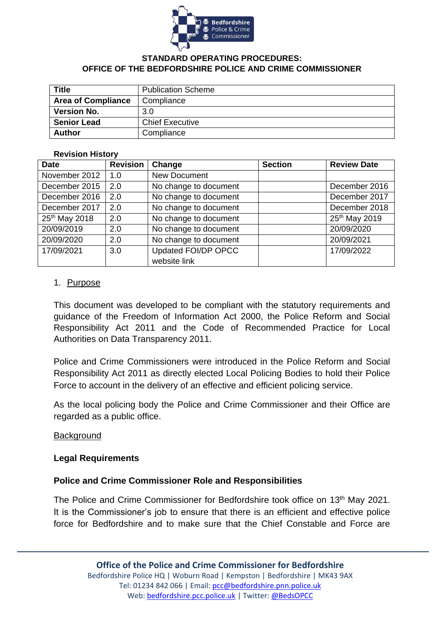

#### **STANDARD OPERATING PROCEDURES: OFFICE OF THE BEDFORDSHIRE POLICE AND CRIME COMMISSIONER**

| <b>Title</b>              | <b>Publication Scheme</b> |
|---------------------------|---------------------------|
| <b>Area of Compliance</b> | Compliance                |
| <b>Version No.</b>        | 3.0                       |
| <b>Senior Lead</b>        | <b>Chief Executive</b>    |
| <b>Author</b>             | Compliance                |

#### **Revision History**

| <b>Date</b>   | <b>Revision</b> | Change                | <b>Section</b> | <b>Review Date</b> |
|---------------|-----------------|-----------------------|----------------|--------------------|
| November 2012 | 1.0             | <b>New Document</b>   |                |                    |
| December 2015 | 2.0             | No change to document |                | December 2016      |
| December 2016 | 2.0             | No change to document |                | December 2017      |
| December 2017 | 2.0             | No change to document |                | December 2018      |
| 25th May 2018 | 2.0             | No change to document |                | 25th May 2019      |
| 20/09/2019    | 2.0             | No change to document |                | 20/09/2020         |
| 20/09/2020    | 2.0             | No change to document |                | 20/09/2021         |
| 17/09/2021    | 3.0             | Updated FOI/DP OPCC   |                | 17/09/2022         |
|               |                 | website link          |                |                    |

#### 1. Purpose

This document was developed to be compliant with the statutory requirements and guidance of the Freedom of Information Act 2000, the Police Reform and Social Responsibility Act 2011 and the Code of Recommended Practice for Local Authorities on Data Transparency 2011.

Police and Crime Commissioners were introduced in the Police Reform and Social Responsibility Act 2011 as directly elected Local Policing Bodies to hold their Police Force to account in the delivery of an effective and efficient policing service.

As the local policing body the Police and Crime Commissioner and their Office are regarded as a public office.

#### **Background**

#### **Legal Requirements**

#### **Police and Crime Commissioner Role and Responsibilities**

The Police and Crime Commissioner for Bedfordshire took office on 13<sup>th</sup> May 2021. It is the Commissioner's job to ensure that there is an efficient and effective police force for Bedfordshire and to make sure that the Chief Constable and Force are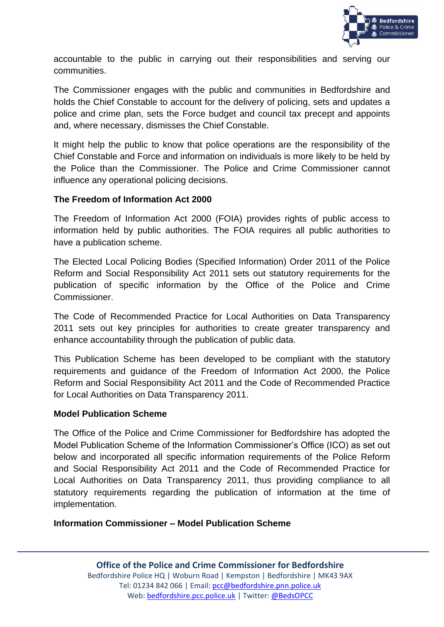

accountable to the public in carrying out their responsibilities and serving our communities.

The Commissioner engages with the public and communities in Bedfordshire and holds the Chief Constable to account for the delivery of policing, sets and updates a police and crime plan, sets the Force budget and council tax precept and appoints and, where necessary, dismisses the Chief Constable.

It might help the public to know that police operations are the responsibility of the Chief Constable and Force and information on individuals is more likely to be held by the Police than the Commissioner. The Police and Crime Commissioner cannot influence any operational policing decisions.

#### **The Freedom of Information Act 2000**

The Freedom of Information Act 2000 (FOIA) provides rights of public access to information held by public authorities. The FOIA requires all public authorities to have a publication scheme.

The Elected Local Policing Bodies (Specified Information) Order 2011 of the Police Reform and Social Responsibility Act 2011 sets out statutory requirements for the publication of specific information by the Office of the Police and Crime Commissioner.

The Code of Recommended Practice for Local Authorities on Data Transparency 2011 sets out key principles for authorities to create greater transparency and enhance accountability through the publication of public data.

This Publication Scheme has been developed to be compliant with the statutory requirements and guidance of the Freedom of Information Act 2000, the Police Reform and Social Responsibility Act 2011 and the Code of Recommended Practice for Local Authorities on Data Transparency 2011.

#### **Model Publication Scheme**

The Office of the Police and Crime Commissioner for Bedfordshire has adopted the Model Publication Scheme of the Information Commissioner's Office (ICO) as set out below and incorporated all specific information requirements of the Police Reform and Social Responsibility Act 2011 and the Code of Recommended Practice for Local Authorities on Data Transparency 2011, thus providing compliance to all statutory requirements regarding the publication of information at the time of implementation.

#### **Information Commissioner – Model Publication Scheme**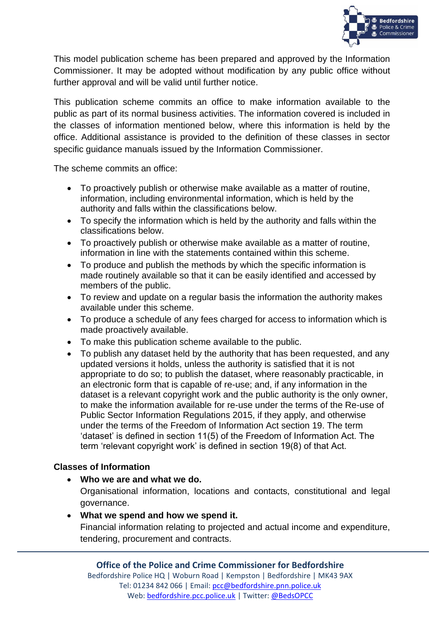

This model publication scheme has been prepared and approved by the Information Commissioner. It may be adopted without modification by any public office without further approval and will be valid until further notice.

This publication scheme commits an office to make information available to the public as part of its normal business activities. The information covered is included in the classes of information mentioned below, where this information is held by the office. Additional assistance is provided to the definition of these classes in sector specific guidance manuals issued by the Information Commissioner.

The scheme commits an office:

- To proactively publish or otherwise make available as a matter of routine, information, including environmental information, which is held by the authority and falls within the classifications below.
- To specify the information which is held by the authority and falls within the classifications below.
- To proactively publish or otherwise make available as a matter of routine, information in line with the statements contained within this scheme.
- To produce and publish the methods by which the specific information is made routinely available so that it can be easily identified and accessed by members of the public.
- To review and update on a regular basis the information the authority makes available under this scheme.
- To produce a schedule of any fees charged for access to information which is made proactively available.
- To make this publication scheme available to the public.
- To publish any dataset held by the authority that has been requested, and any updated versions it holds, unless the authority is satisfied that it is not appropriate to do so; to publish the dataset, where reasonably practicable, in an electronic form that is capable of re-use; and, if any information in the dataset is a relevant copyright work and the public authority is the only owner, to make the information available for re-use under the terms of the Re-use of Public Sector Information Regulations 2015, if they apply, and otherwise under the terms of the Freedom of Information Act section 19. The term 'dataset' is defined in section 11(5) of the Freedom of Information Act. The term 'relevant copyright work' is defined in section 19(8) of that Act.

## **Classes of Information**

• **Who we are and what we do.**

Organisational information, locations and contacts, constitutional and legal governance.

## • **What we spend and how we spend it.**

Financial information relating to projected and actual income and expenditure, tendering, procurement and contracts.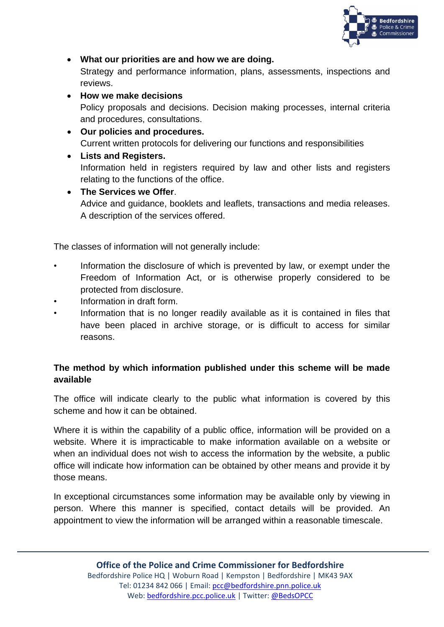

• **What our priorities are and how we are doing.**

Strategy and performance information, plans, assessments, inspections and reviews.

- **How we make decisions** Policy proposals and decisions. Decision making processes, internal criteria and procedures, consultations.
- **Our policies and procedures.** Current written protocols for delivering our functions and responsibilities
- **Lists and Registers.** Information held in registers required by law and other lists and registers relating to the functions of the office.
- **The Services we Offer**. Advice and guidance, booklets and leaflets, transactions and media releases. A description of the services offered.

The classes of information will not generally include:

- Information the disclosure of which is prevented by law, or exempt under the Freedom of Information Act, or is otherwise properly considered to be protected from disclosure.
- Information in draft form.
- Information that is no longer readily available as it is contained in files that have been placed in archive storage, or is difficult to access for similar reasons.

# **The method by which information published under this scheme will be made available**

The office will indicate clearly to the public what information is covered by this scheme and how it can be obtained.

Where it is within the capability of a public office, information will be provided on a website. Where it is impracticable to make information available on a website or when an individual does not wish to access the information by the website, a public office will indicate how information can be obtained by other means and provide it by those means.

In exceptional circumstances some information may be available only by viewing in person. Where this manner is specified, contact details will be provided. An appointment to view the information will be arranged within a reasonable timescale.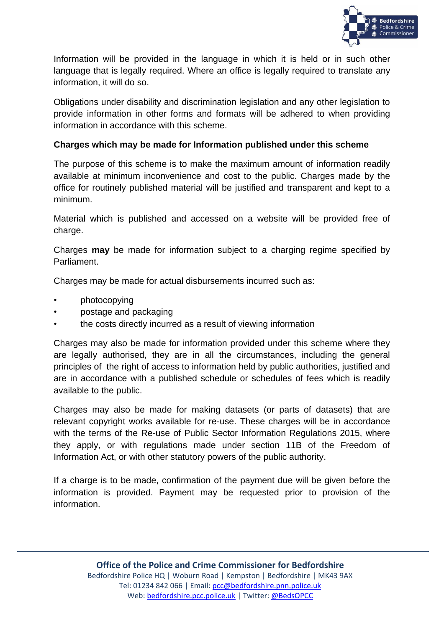

Information will be provided in the language in which it is held or in such other language that is legally required. Where an office is legally required to translate any information, it will do so.

Obligations under disability and discrimination legislation and any other legislation to provide information in other forms and formats will be adhered to when providing information in accordance with this scheme.

## **Charges which may be made for Information published under this scheme**

The purpose of this scheme is to make the maximum amount of information readily available at minimum inconvenience and cost to the public. Charges made by the office for routinely published material will be justified and transparent and kept to a minimum.

Material which is published and accessed on a website will be provided free of charge.

Charges **may** be made for information subject to a charging regime specified by Parliament.

Charges may be made for actual disbursements incurred such as:

- photocopying
- postage and packaging
- the costs directly incurred as a result of viewing information

Charges may also be made for information provided under this scheme where they are legally authorised, they are in all the circumstances, including the general principles of the right of access to information held by public authorities, justified and are in accordance with a published schedule or schedules of fees which is readily available to the public.

Charges may also be made for making datasets (or parts of datasets) that are relevant copyright works available for re-use. These charges will be in accordance with the terms of the Re-use of Public Sector Information Regulations 2015, where they apply, or with regulations made under section 11B of the Freedom of Information Act, or with other statutory powers of the public authority.

If a charge is to be made, confirmation of the payment due will be given before the information is provided. Payment may be requested prior to provision of the information.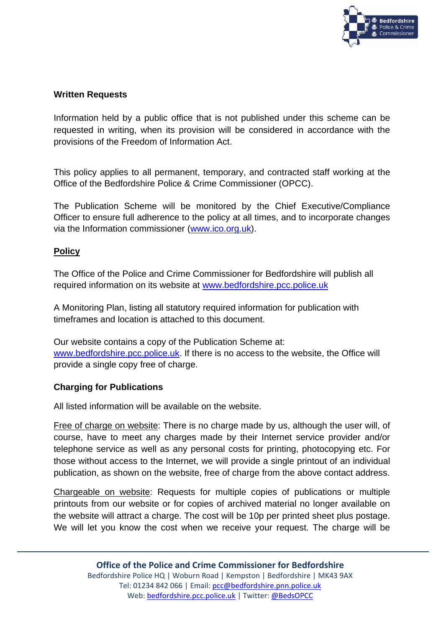

## **Written Requests**

Information held by a public office that is not published under this scheme can be requested in writing, when its provision will be considered in accordance with the provisions of the Freedom of Information Act.

This policy applies to all permanent, temporary, and contracted staff working at the Office of the Bedfordshire Police & Crime Commissioner (OPCC).

The Publication Scheme will be monitored by the Chief Executive/Compliance Officer to ensure full adherence to the policy at all times, and to incorporate changes via the Information commissioner [\(www.ico.org.uk\)](http://www.ico.org.uk/).

## **Policy**

The Office of the Police and Crime Commissioner for Bedfordshire will publish all required information on its website at [www.bedfordshire.pcc.police.uk](http://www.bedfordshire.pcc.police.uk/)

A Monitoring Plan, listing all statutory required information for publication with timeframes and location is attached to this document.

Our website contains a copy of the Publication Scheme at: [www.bedfordshire.pcc.police.uk.](http://www.bedfordshire.pcc.police.uk/) If there is no access to the website, the Office will provide a single copy free of charge.

#### **Charging for Publications**

All listed information will be available on the website.

Free of charge on website: There is no charge made by us, although the user will, of course, have to meet any charges made by their Internet service provider and/or telephone service as well as any personal costs for printing, photocopying etc. For those without access to the Internet, we will provide a single printout of an individual publication, as shown on the website, free of charge from the above contact address.

Chargeable on website: Requests for multiple copies of publications or multiple printouts from our website or for copies of archived material no longer available on the website will attract a charge. The cost will be 10p per printed sheet plus postage. We will let you know the cost when we receive your request. The charge will be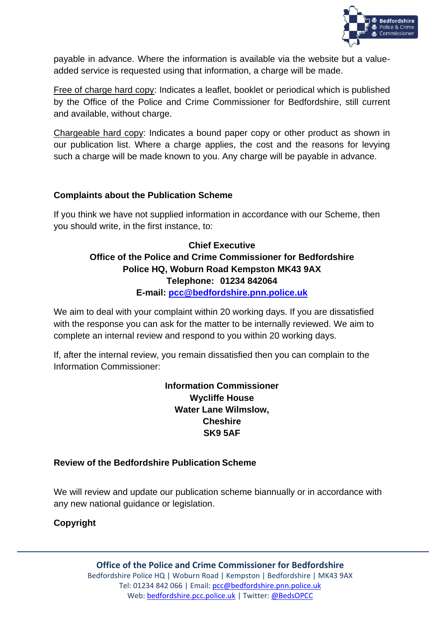

payable in advance. Where the information is available via the website but a valueadded service is requested using that information, a charge will be made.

Free of charge hard copy: Indicates a leaflet, booklet or periodical which is published by the Office of the Police and Crime Commissioner for Bedfordshire, still current and available, without charge.

Chargeable hard copy: Indicates a bound paper copy or other product as shown in our publication list. Where a charge applies, the cost and the reasons for levying such a charge will be made known to you. Any charge will be payable in advance.

## **Complaints about the Publication Scheme**

If you think we have not supplied information in accordance with our Scheme, then you should write, in the first instance, to:

## **Chief Executive Office of the Police and Crime Commissioner for Bedfordshire Police HQ, Woburn Road Kempston MK43 9AX Telephone: 01234 842064 E-mail: [pcc@bedfordshire.pnn.police.uk](mailto:pcc@bedfordshire.pnn.police.uk)**

We aim to deal with your complaint within 20 working days. If you are dissatisfied with the response you can ask for the matter to be internally reviewed. We aim to complete an internal review and respond to you within 20 working days.

If, after the internal review, you remain dissatisfied then you can complain to the Information Commissioner:

> **Information Commissioner Wycliffe House Water Lane Wilmslow, Cheshire SK9 5AF**

#### **Review of the Bedfordshire Publication Scheme**

We will review and update our publication scheme biannually or in accordance with any new national guidance or legislation.

## **Copyright**

**Office of the Police and Crime Commissioner for Bedfordshire** Bedfordshire Police HQ | Woburn Road | Kempston | Bedfordshire | MK43 9AX Tel: 01234 842 066 | Email: [pcc@bedfordshire.pnn.police.uk](mailto:pcc@bedfordshire.pnn.police.uk) Web: [bedfordshire.pcc.police.uk](http://www.bedfordshire.pcc.police.uk/) | Twitter: [@BedsOPCC](https://twitter.com/BedsPCC)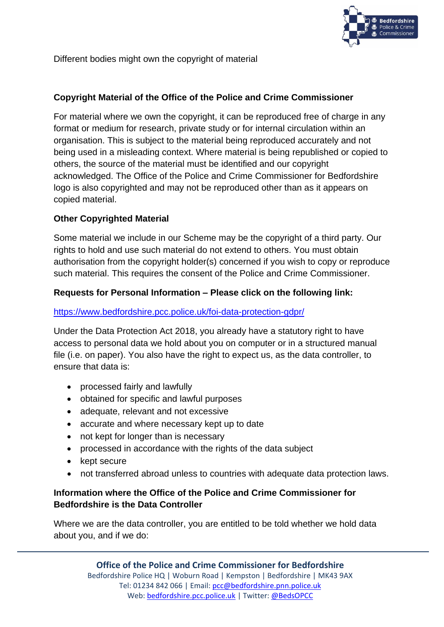

Different bodies might own the copyright of material

## **Copyright Material of the Office of the Police and Crime Commissioner**

For material where we own the copyright, it can be reproduced free of charge in any format or medium for research, private study or for internal circulation within an organisation. This is subject to the material being reproduced accurately and not being used in a misleading context. Where material is being republished or copied to others, the source of the material must be identified and our copyright acknowledged. The Office of the Police and Crime Commissioner for Bedfordshire logo is also copyrighted and may not be reproduced other than as it appears on copied material.

## **Other Copyrighted Material**

Some material we include in our Scheme may be the copyright of a third party. Our rights to hold and use such material do not extend to others. You must obtain authorisation from the copyright holder(s) concerned if you wish to copy or reproduce such material. This requires the consent of the Police and Crime Commissioner.

#### **Requests for Personal Information – Please click on the following link:**

#### <https://www.bedfordshire.pcc.police.uk/foi-data-protection-gdpr/>

Under the Data Protection Act 2018, you already have a statutory right to have access to personal data we hold about you on computer or in a structured manual file (i.e. on paper). You also have the right to expect us, as the data controller, to ensure that data is:

- processed fairly and lawfully
- obtained for specific and lawful purposes
- adequate, relevant and not excessive
- accurate and where necessary kept up to date
- not kept for longer than is necessary
- processed in accordance with the rights of the data subject
- kept secure
- not transferred abroad unless to countries with adequate data protection laws.

## **Information where the Office of the Police and Crime Commissioner for Bedfordshire is the Data Controller**

Where we are the data controller, you are entitled to be told whether we hold data about you, and if we do: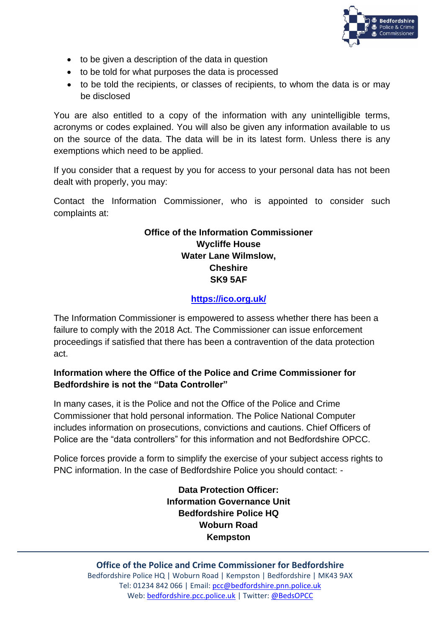

- to be given a description of the data in question
- to be told for what purposes the data is processed
- to be told the recipients, or classes of recipients, to whom the data is or may be disclosed

You are also entitled to a copy of the information with any unintelligible terms, acronyms or codes explained. You will also be given any information available to us on the source of the data. The data will be in its latest form. Unless there is any exemptions which need to be applied.

If you consider that a request by you for access to your personal data has not been dealt with properly, you may:

Contact the Information Commissioner, who is appointed to consider such complaints at:

## **Office of the Information Commissioner Wycliffe House Water Lane Wilmslow, Cheshire SK9 5AF**

# **<https://ico.org.uk/>**

The Information Commissioner is empowered to assess whether there has been a failure to comply with the 2018 Act. The Commissioner can issue enforcement proceedings if satisfied that there has been a contravention of the data protection act.

## **Information where the Office of the Police and Crime Commissioner for Bedfordshire is not the "Data Controller"**

In many cases, it is the Police and not the Office of the Police and Crime Commissioner that hold personal information. The Police National Computer includes information on prosecutions, convictions and cautions. Chief Officers of Police are the "data controllers" for this information and not Bedfordshire OPCC.

Police forces provide a form to simplify the exercise of your subject access rights to PNC information. In the case of Bedfordshire Police you should contact: -

> **Data Protection Officer: Information Governance Unit Bedfordshire Police HQ Woburn Road Kempston**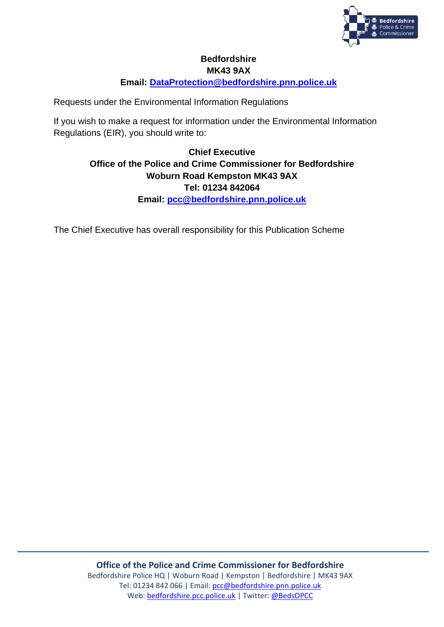

# **Bedfordshire MK43 9AX**

**Email: [DataProtection@bedfordshire.pnn.police.uk](mailto:DataProtection@bedfordshire.pnn.police.uk)**

Requests under the Environmental Information Regulations

If you wish to make a request for information under the Environmental Information Regulations (EIR), you should write to:

# **Chief Executive Office of the Police and Crime Commissioner for Bedfordshire Woburn Road Kempston MK43 9AX Tel: 01234 842064 Email: [pcc@bedfordshire.pnn.police.uk](mailto:pcc@bedfordshire.pnn.police.uk)**

The Chief Executive has overall responsibility for this Publication Scheme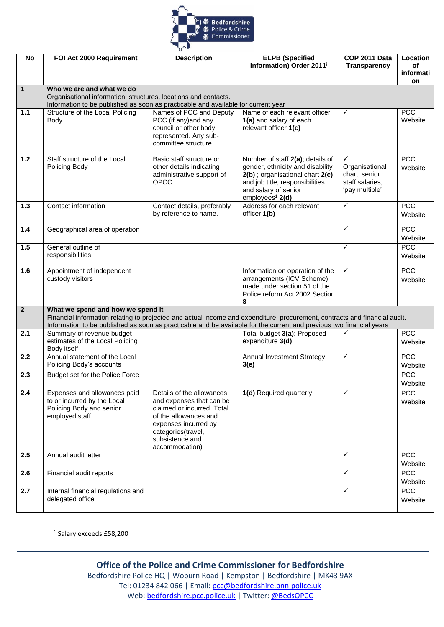

| <b>No</b>      | FOI Act 2000 Requirement                                                                                                                                                                                                                           | <b>Description</b>                                     | <b>ELPB</b> (Specified                                              | COP 2011 Data                    | Location        |  |
|----------------|----------------------------------------------------------------------------------------------------------------------------------------------------------------------------------------------------------------------------------------------------|--------------------------------------------------------|---------------------------------------------------------------------|----------------------------------|-----------------|--|
|                |                                                                                                                                                                                                                                                    |                                                        | Information) Order 2011 <sup>i</sup>                                | <b>Transparency</b>              | of              |  |
|                |                                                                                                                                                                                                                                                    |                                                        |                                                                     |                                  | informati<br>on |  |
| $\mathbf{1}$   | Who we are and what we do                                                                                                                                                                                                                          |                                                        |                                                                     |                                  |                 |  |
|                | Organisational information, structures, locations and contacts.                                                                                                                                                                                    |                                                        |                                                                     |                                  |                 |  |
| 1.1            | Information to be published as soon as practicable and available for current year<br>Structure of the Local Policing                                                                                                                               | Names of PCC and Deputy                                | Name of each relevant officer                                       | $\checkmark$                     | PCC             |  |
|                | Body                                                                                                                                                                                                                                               | PCC (if any) and any                                   | 1(a) and salary of each                                             |                                  | Website         |  |
|                |                                                                                                                                                                                                                                                    | council or other body                                  | relevant officer 1(c)                                               |                                  |                 |  |
|                |                                                                                                                                                                                                                                                    | represented. Any sub-                                  |                                                                     |                                  |                 |  |
|                |                                                                                                                                                                                                                                                    | committee structure.                                   |                                                                     |                                  |                 |  |
| 1.2            | Staff structure of the Local                                                                                                                                                                                                                       | Basic staff structure or                               | Number of staff 2(a); details of                                    | ✓                                | PCC             |  |
|                | Policing Body                                                                                                                                                                                                                                      | other details indicating                               | gender, ethnicity and disability                                    | Organisational                   | Website         |  |
|                |                                                                                                                                                                                                                                                    | administrative support of<br>OPCC.                     | 2(b) ; organisational chart 2(c)<br>and job title, responsibilities | chart, senior<br>staff salaries, |                 |  |
|                |                                                                                                                                                                                                                                                    |                                                        | and salary of senior                                                | 'pay multiple'                   |                 |  |
|                |                                                                                                                                                                                                                                                    |                                                        | employees <sup>1</sup> 2(d)                                         |                                  |                 |  |
| $1.3$          | Contact information                                                                                                                                                                                                                                | Contact details, preferably                            | Address for each relevant                                           | $\checkmark$                     | PCC             |  |
|                |                                                                                                                                                                                                                                                    | by reference to name.                                  | officer 1(b)                                                        |                                  | Website         |  |
| 1.4            | Geographical area of operation                                                                                                                                                                                                                     |                                                        |                                                                     | ✓                                | PCC             |  |
|                |                                                                                                                                                                                                                                                    |                                                        |                                                                     |                                  | Website         |  |
| 1.5            | General outline of<br>responsibilities                                                                                                                                                                                                             |                                                        |                                                                     | ✓                                | PCC             |  |
|                |                                                                                                                                                                                                                                                    |                                                        |                                                                     |                                  | Website         |  |
| 1.6            | Appointment of independent                                                                                                                                                                                                                         |                                                        | Information on operation of the                                     | ✓                                | PCC             |  |
|                | custody visitors                                                                                                                                                                                                                                   |                                                        | arrangements (ICV Scheme)<br>made under section 51 of the           |                                  | Website         |  |
|                |                                                                                                                                                                                                                                                    |                                                        | Police reform Act 2002 Section                                      |                                  |                 |  |
|                |                                                                                                                                                                                                                                                    |                                                        | 8                                                                   |                                  |                 |  |
| $\overline{2}$ | What we spend and how we spend it                                                                                                                                                                                                                  |                                                        |                                                                     |                                  |                 |  |
|                | Financial information relating to projected and actual income and expenditure, procurement, contracts and financial audit.<br>Information to be published as soon as practicable and be available for the current and previous two financial years |                                                        |                                                                     |                                  |                 |  |
| 2.1            | Summary of revenue budget                                                                                                                                                                                                                          |                                                        | Total budget 3(a); Proposed                                         | ✓                                | <b>PCC</b>      |  |
|                | estimates of the Local Policing                                                                                                                                                                                                                    |                                                        | expenditure 3(d)                                                    |                                  | Website         |  |
| 2.2            | Body itself<br>Annual statement of the Local                                                                                                                                                                                                       |                                                        | <b>Annual Investment Strategy</b>                                   | ✓                                | PCC             |  |
|                | Policing Body's accounts                                                                                                                                                                                                                           |                                                        | 3(e)                                                                |                                  | Website         |  |
| 2.3            | Budget set for the Police Force                                                                                                                                                                                                                    |                                                        |                                                                     |                                  | <b>PCC</b>      |  |
|                |                                                                                                                                                                                                                                                    |                                                        |                                                                     |                                  | Website         |  |
| 2.4            | Expenses and allowances paid                                                                                                                                                                                                                       | Details of the allowances                              | 1(d) Required quarterly                                             | $\checkmark$                     | <b>PCC</b>      |  |
|                | to or incurred by the Local<br>Policing Body and senior                                                                                                                                                                                            | and expenses that can be<br>claimed or incurred. Total |                                                                     |                                  | Website         |  |
|                | employed staff                                                                                                                                                                                                                                     | of the allowances and                                  |                                                                     |                                  |                 |  |
|                |                                                                                                                                                                                                                                                    | expenses incurred by                                   |                                                                     |                                  |                 |  |
|                |                                                                                                                                                                                                                                                    | categories(travel,                                     |                                                                     |                                  |                 |  |
|                |                                                                                                                                                                                                                                                    | subsistence and<br>accommodation)                      |                                                                     |                                  |                 |  |
| 2.5            | Annual audit letter                                                                                                                                                                                                                                |                                                        |                                                                     | ✓                                | <b>PCC</b>      |  |
|                |                                                                                                                                                                                                                                                    |                                                        |                                                                     |                                  | Website         |  |
| 2.6            | Financial audit reports                                                                                                                                                                                                                            |                                                        |                                                                     | $\checkmark$                     | PCC             |  |
|                |                                                                                                                                                                                                                                                    |                                                        |                                                                     |                                  | Website         |  |
| 2.7            | Internal financial regulations and<br>delegated office                                                                                                                                                                                             |                                                        |                                                                     | $\checkmark$                     | PCC             |  |
|                |                                                                                                                                                                                                                                                    |                                                        |                                                                     |                                  | Website         |  |

1 Salary exceeds £58,200

## **Office of the Police and Crime Commissioner for Bedfordshire**

Bedfordshire Police HQ | Woburn Road | Kempston | Bedfordshire | MK43 9AX Tel: 01234 842 066 | Email: [pcc@bedfordshire.pnn.police.uk](mailto:pcc@bedfordshire.pnn.police.uk) Web: [bedfordshire.pcc.police.uk](http://www.bedfordshire.pcc.police.uk/) | Twitter: [@BedsOPCC](https://twitter.com/BedsPCC)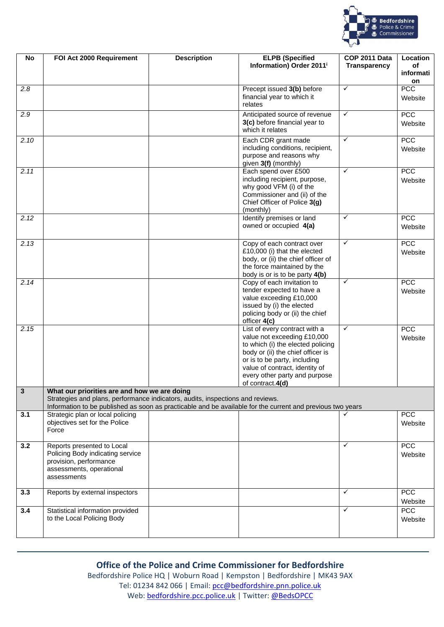

| No          | FOI Act 2000 Requirement                                                                                                                                                                                                                     | <b>Description</b> | <b>ELPB (Specified</b><br>Information) Order 2011 <sup>i</sup>                                                                                                                                                                                                | COP 2011 Data<br><b>Transparency</b> | Location<br>of<br>informati<br>on |
|-------------|----------------------------------------------------------------------------------------------------------------------------------------------------------------------------------------------------------------------------------------------|--------------------|---------------------------------------------------------------------------------------------------------------------------------------------------------------------------------------------------------------------------------------------------------------|--------------------------------------|-----------------------------------|
| 2.8         |                                                                                                                                                                                                                                              |                    | Precept issued 3(b) before<br>financial year to which it<br>relates                                                                                                                                                                                           | ✓                                    | PCC<br>Website                    |
| 2.9         |                                                                                                                                                                                                                                              |                    | Anticipated source of revenue<br>3(c) before financial year to<br>which it relates                                                                                                                                                                            | $\checkmark$                         | PCC<br>Website                    |
| 2.10        |                                                                                                                                                                                                                                              |                    | Each CDR grant made<br>including conditions, recipient,<br>purpose and reasons why<br>given 3(f) (monthly)                                                                                                                                                    | $\checkmark$                         | PCC<br>Website                    |
| 2.11        |                                                                                                                                                                                                                                              |                    | Each spend over £500<br>including recipient, purpose,<br>why good VFM (i) of the<br>Commissioner and (ii) of the<br>Chief Officer of Police 3(g)<br>(monthly)                                                                                                 | $\checkmark$                         | <b>PCC</b><br>Website             |
| 2.12        |                                                                                                                                                                                                                                              |                    | Identify premises or land<br>owned or occupied 4(a)                                                                                                                                                                                                           | $\checkmark$                         | <b>PCC</b><br>Website             |
| 2.13        |                                                                                                                                                                                                                                              |                    | Copy of each contract over<br>£10,000 (i) that the elected<br>body, or (ii) the chief officer of<br>the force maintained by the<br>body is or is to be party 4(b)                                                                                             | ✓                                    | PCC<br>Website                    |
| 2.14        |                                                                                                                                                                                                                                              |                    | Copy of each invitation to<br>tender expected to have a<br>value exceeding £10,000<br>issued by (i) the elected<br>policing body or (ii) the chief<br>officer 4(c)                                                                                            | ✓                                    | PCC<br>Website                    |
| 2.15        |                                                                                                                                                                                                                                              |                    | List of every contract with a<br>value not exceeding £10,000<br>to which (i) the elected policing<br>body or (ii) the chief officer is<br>or is to be party, including<br>value of contract, identity of<br>every other party and purpose<br>of contract.4(d) | $\checkmark$                         | PCC<br>Website                    |
| $\mathbf 3$ | What our priorities are and how we are doing<br>Strategies and plans, performance indicators, audits, inspections and reviews.<br>Information to be published as soon as practicable and be available for the current and previous two years |                    |                                                                                                                                                                                                                                                               |                                      |                                   |
| 3.1         | Strategic plan or local policing<br>objectives set for the Police<br>Force                                                                                                                                                                   |                    |                                                                                                                                                                                                                                                               | ✓                                    | <b>PCC</b><br>Website             |
| 3.2         | Reports presented to Local<br>Policing Body indicating service<br>provision, performance<br>assessments, operational<br>assessments                                                                                                          |                    |                                                                                                                                                                                                                                                               | $\checkmark$                         | <b>PCC</b><br>Website             |
| 3.3         | Reports by external inspectors                                                                                                                                                                                                               |                    |                                                                                                                                                                                                                                                               | ✓                                    | <b>PCC</b><br>Website             |
| 3.4         | Statistical information provided<br>to the Local Policing Body                                                                                                                                                                               |                    |                                                                                                                                                                                                                                                               | $\checkmark$                         | PCC<br>Website                    |

## **Office of the Police and Crime Commissioner for Bedfordshire**

Bedfordshire Police HQ | Woburn Road | Kempston | Bedfordshire | MK43 9AX Tel: 01234 842 066 | Email: [pcc@bedfordshire.pnn.police.uk](mailto:pcc@bedfordshire.pnn.police.uk) Web: [bedfordshire.pcc.police.uk](http://www.bedfordshire.pcc.police.uk/) | Twitter: [@BedsOPCC](https://twitter.com/BedsPCC)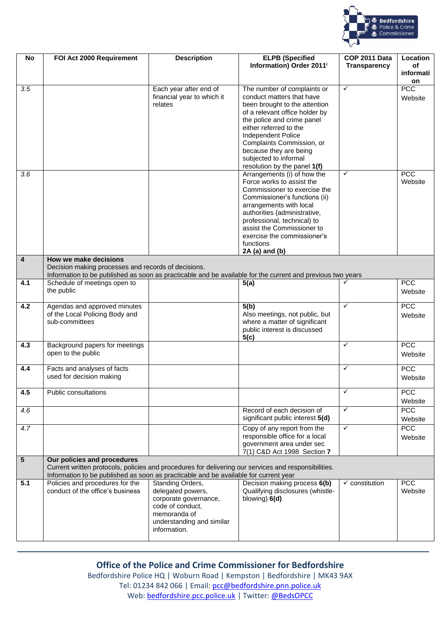

| <b>No</b>       | FOI Act 2000 Requirement                                                                                                                                                                     | <b>Description</b>                        | <b>ELPB</b> (Specified<br>Information) Order 2011 <sup>i</sup>   | COP 2011 Data<br><b>Transparency</b> | <b>Location</b><br>οf |
|-----------------|----------------------------------------------------------------------------------------------------------------------------------------------------------------------------------------------|-------------------------------------------|------------------------------------------------------------------|--------------------------------------|-----------------------|
|                 |                                                                                                                                                                                              |                                           |                                                                  |                                      | informati             |
| 3.5             |                                                                                                                                                                                              | Each year after end of                    | The number of complaints or                                      | $\checkmark$                         | on<br><b>PCC</b>      |
|                 |                                                                                                                                                                                              | financial year to which it                | conduct matters that have                                        |                                      | Website               |
|                 |                                                                                                                                                                                              | relates                                   | been brought to the attention                                    |                                      |                       |
|                 |                                                                                                                                                                                              |                                           | of a relevant office holder by<br>the police and crime panel     |                                      |                       |
|                 |                                                                                                                                                                                              |                                           | either referred to the                                           |                                      |                       |
|                 |                                                                                                                                                                                              |                                           | Independent Police                                               |                                      |                       |
|                 |                                                                                                                                                                                              |                                           | Complaints Commission, or<br>because they are being              |                                      |                       |
|                 |                                                                                                                                                                                              |                                           | subjected to informal                                            |                                      |                       |
|                 |                                                                                                                                                                                              |                                           | resolution by the panel 1(f)                                     |                                      |                       |
| 3.6             |                                                                                                                                                                                              |                                           | Arrangements (i) of how the<br>Force works to assist the         | ✓                                    | <b>PCC</b><br>Website |
|                 |                                                                                                                                                                                              |                                           | Commissioner to exercise the                                     |                                      |                       |
|                 |                                                                                                                                                                                              |                                           | Commissioner's functions (ii)                                    |                                      |                       |
|                 |                                                                                                                                                                                              |                                           | arrangements with local                                          |                                      |                       |
|                 |                                                                                                                                                                                              |                                           | authorities (administrative,<br>professional, technical) to      |                                      |                       |
|                 |                                                                                                                                                                                              |                                           | assist the Commissioner to                                       |                                      |                       |
|                 |                                                                                                                                                                                              |                                           | exercise the commissioner's                                      |                                      |                       |
|                 |                                                                                                                                                                                              |                                           | functions<br>2A (a) and (b)                                      |                                      |                       |
| 4               | How we make decisions                                                                                                                                                                        |                                           |                                                                  |                                      |                       |
|                 | Decision making processes and records of decisions.                                                                                                                                          |                                           |                                                                  |                                      |                       |
| 4.1             | Information to be published as soon as practicable and be available for the current and previous two years<br>Schedule of meetings open to                                                   |                                           | 5(a)                                                             | ✓                                    | PCC                   |
|                 | the public                                                                                                                                                                                   |                                           |                                                                  |                                      | Website               |
| 4.2             | Agendas and approved minutes                                                                                                                                                                 |                                           | 5(b)                                                             | ✓                                    | <b>PCC</b>            |
|                 | of the Local Policing Body and<br>sub-committees                                                                                                                                             |                                           | Also meetings, not public, but<br>where a matter of significant  |                                      | Website               |
|                 |                                                                                                                                                                                              |                                           | public interest is discussed                                     |                                      |                       |
|                 |                                                                                                                                                                                              |                                           | 5(c)                                                             |                                      |                       |
| 4.3             | Background papers for meetings<br>open to the public                                                                                                                                         |                                           |                                                                  | $\checkmark$                         | <b>PCC</b><br>Website |
| 4.4             | Facts and analyses of facts<br>used for decision making                                                                                                                                      |                                           |                                                                  | ✓                                    | <b>PCC</b><br>Website |
| 4.5             | Public consultations                                                                                                                                                                         |                                           |                                                                  | $\checkmark$                         | <b>PCC</b>            |
| 4.6             |                                                                                                                                                                                              |                                           | Record of each decision of                                       | ✓                                    | Website<br><b>PCC</b> |
|                 |                                                                                                                                                                                              |                                           | significant public interest 5(d)                                 |                                      | Website               |
| 4.7             |                                                                                                                                                                                              |                                           | Copy of any report from the<br>responsible office for a local    | $\checkmark$                         | <b>PCC</b>            |
|                 |                                                                                                                                                                                              |                                           | government area under sec                                        |                                      | Website               |
|                 |                                                                                                                                                                                              |                                           | 7(1) C&D Act 1998 Section 7                                      |                                      |                       |
| $5\phantom{.0}$ | Our policies and procedures                                                                                                                                                                  |                                           |                                                                  |                                      |                       |
|                 | Current written protocols, policies and procedures for delivering our services and responsibilities.<br>Information to be published as soon as practicable and be available for current year |                                           |                                                                  |                                      |                       |
| 5.1             | Policies and procedures for the<br>conduct of the office's business                                                                                                                          | Standing Orders,<br>delegated powers,     | Decision making process 6(b)<br>Qualifying disclosures (whistle- | $\checkmark$ constitution            | <b>PCC</b><br>Website |
|                 |                                                                                                                                                                                              | corporate governance,                     | blowing) 6(d)                                                    |                                      |                       |
|                 |                                                                                                                                                                                              | code of conduct,                          |                                                                  |                                      |                       |
|                 |                                                                                                                                                                                              | memoranda of<br>understanding and similar |                                                                  |                                      |                       |
|                 |                                                                                                                                                                                              | information.                              |                                                                  |                                      |                       |
|                 |                                                                                                                                                                                              |                                           |                                                                  |                                      |                       |

## **Office of the Police and Crime Commissioner for Bedfordshire**

Bedfordshire Police HQ | Woburn Road | Kempston | Bedfordshire | MK43 9AX Tel: 01234 842 066 | Email: [pcc@bedfordshire.pnn.police.uk](mailto:pcc@bedfordshire.pnn.police.uk) Web: [bedfordshire.pcc.police.uk](http://www.bedfordshire.pcc.police.uk/) | Twitter: [@BedsOPCC](https://twitter.com/BedsPCC)